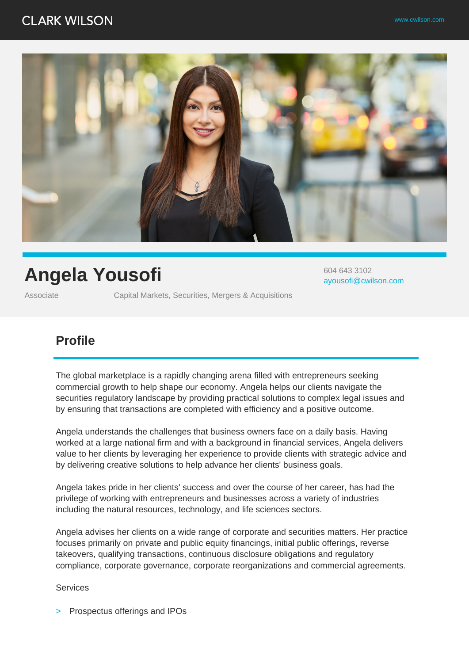### **CLARK WILSON**



# **Angela Yousofi**

Associate Capital Markets, Securities, Mergers & Acquisitions

604 643 3102 ayousofi@cwilson.com

### **Profile**

The global marketplace is a rapidly changing arena filled with entrepreneurs seeking commercial growth to help shape our economy. Angela helps our clients navigate the securities regulatory landscape by providing practical solutions to complex legal issues and by ensuring that transactions are completed with efficiency and a positive outcome.

Angela understands the challenges that business owners face on a daily basis. Having worked at a large national firm and with a background in financial services, Angela delivers value to her clients by leveraging her experience to provide clients with strategic advice and by delivering creative solutions to help advance her clients' business goals.

Angela takes pride in her clients' success and over the course of her career, has had the privilege of working with entrepreneurs and businesses across a variety of industries including the natural resources, technology, and life sciences sectors.

Angela advises her clients on a wide range of corporate and securities matters. Her practice focuses primarily on private and public equity financings, initial public offerings, reverse takeovers, qualifying transactions, continuous disclosure obligations and regulatory compliance, corporate governance, corporate reorganizations and commercial agreements.

#### **Services**

Prospectus offerings and IPOs